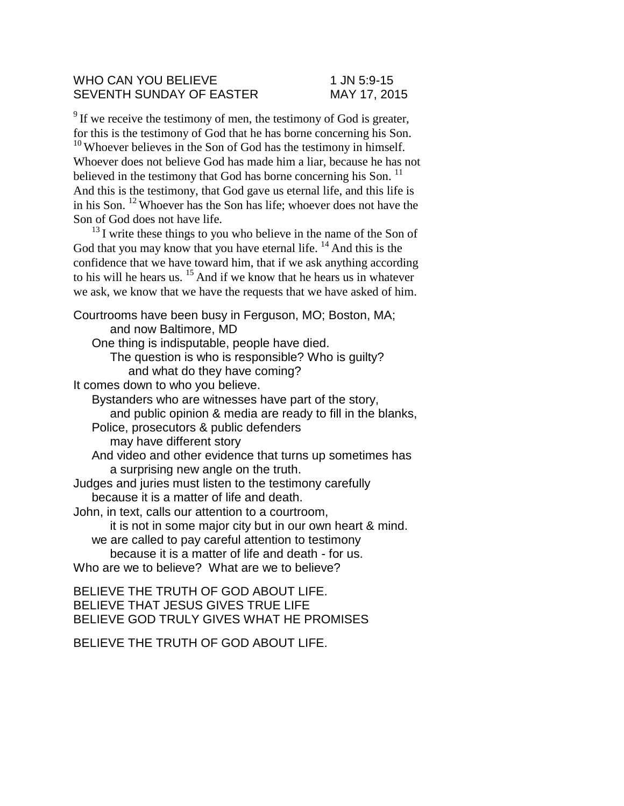## WHO CAN YOU BELIEVE 1 JN 5:9-15 SEVENTH SUNDAY OF EASTER MAY 17, 2015

 $9^9$  If we receive the testimony of men, the testimony of God is greater, for this is the testimony of God that he has borne concerning his Son.  $10$  Whoever believes in the Son of God has the testimony in himself. Whoever does not believe God has made him a liar, because he has not believed in the testimony that God has borne concerning his Son.<sup>11</sup> And this is the testimony, that God gave us eternal life, and this life is in his Son. <sup>12</sup>Whoever has the Son has life; whoever does not have the Son of God does not have life.

 $13$  I write these things to you who believe in the name of the Son of God that you may know that you have eternal life.  $14$  And this is the confidence that we have toward him, that if we ask anything according to his will he hears us. <sup>15</sup> And if we know that he hears us in whatever we ask, we know that we have the requests that we have asked of him.

Courtrooms have been busy in Ferguson, MO; Boston, MA; and now Baltimore, MD One thing is indisputable, people have died. The question is who is responsible? Who is guilty? and what do they have coming? It comes down to who you believe. Bystanders who are witnesses have part of the story, and public opinion & media are ready to fill in the blanks, Police, prosecutors & public defenders may have different story And video and other evidence that turns up sometimes has a surprising new angle on the truth. Judges and juries must listen to the testimony carefully because it is a matter of life and death. John, in text, calls our attention to a courtroom, it is not in some major city but in our own heart & mind. we are called to pay careful attention to testimony because it is a matter of life and death - for us. Who are we to believe? What are we to believe? BELIEVE THE TRUTH OF GOD ABOUT LIFE.

BELIEVE THAT JESUS GIVES TRUE LIFE BELIEVE GOD TRULY GIVES WHAT HE PROMISES

BELIEVE THE TRUTH OF GOD ABOUT LIFE.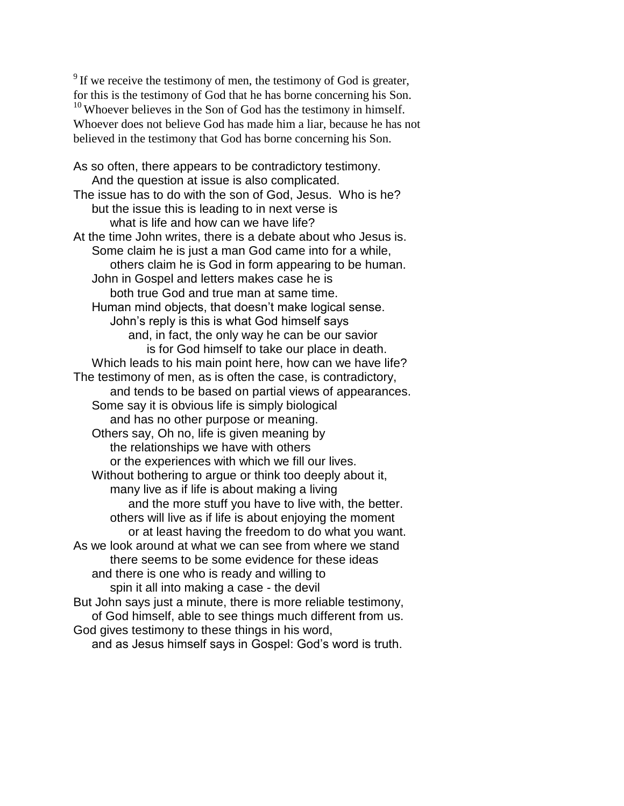$9^9$  If we receive the testimony of men, the testimony of God is greater, for this is the testimony of God that he has borne concerning his Son.  $10$  Whoever believes in the Son of God has the testimony in himself. Whoever does not believe God has made him a liar, because he has not believed in the testimony that God has borne concerning his Son.

As so often, there appears to be contradictory testimony. And the question at issue is also complicated. The issue has to do with the son of God, Jesus. Who is he? but the issue this is leading to in next verse is what is life and how can we have life? At the time John writes, there is a debate about who Jesus is. Some claim he is just a man God came into for a while, others claim he is God in form appearing to be human. John in Gospel and letters makes case he is both true God and true man at same time. Human mind objects, that doesn't make logical sense. John's reply is this is what God himself says and, in fact, the only way he can be our savior is for God himself to take our place in death. Which leads to his main point here, how can we have life? The testimony of men, as is often the case, is contradictory, and tends to be based on partial views of appearances. Some say it is obvious life is simply biological and has no other purpose or meaning. Others say, Oh no, life is given meaning by the relationships we have with others or the experiences with which we fill our lives. Without bothering to argue or think too deeply about it, many live as if life is about making a living and the more stuff you have to live with, the better. others will live as if life is about enjoying the moment or at least having the freedom to do what you want. As we look around at what we can see from where we stand there seems to be some evidence for these ideas and there is one who is ready and willing to spin it all into making a case - the devil But John says just a minute, there is more reliable testimony, of God himself, able to see things much different from us. God gives testimony to these things in his word, and as Jesus himself says in Gospel: God's word is truth.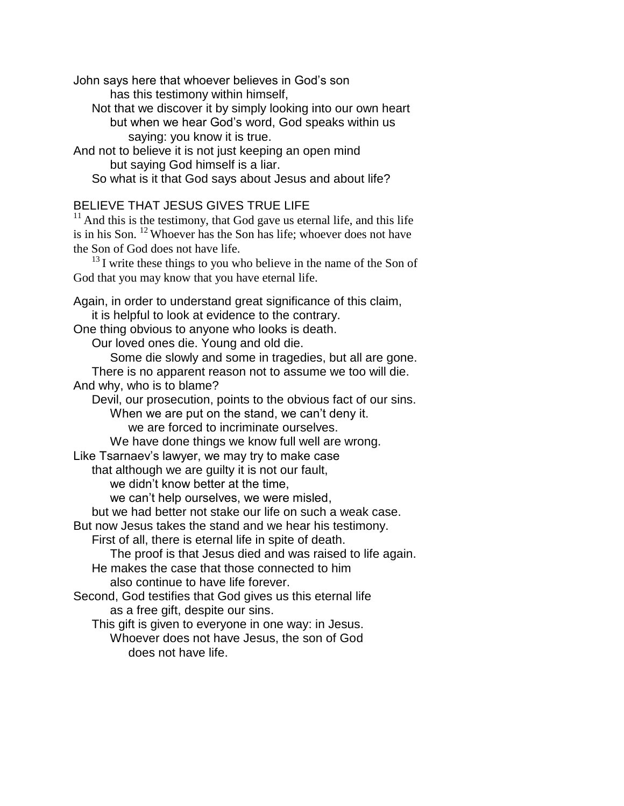John says here that whoever believes in God's son has this testimony within himself, Not that we discover it by simply looking into our own heart but when we hear God's word, God speaks within us saying: you know it is true. And not to believe it is not just keeping an open mind but saying God himself is a liar. So what is it that God says about Jesus and about life?

## BELIEVE THAT JESUS GIVES TRUE LIFE

 $11$  And this is the testimony, that God gave us eternal life, and this life is in his Son. <sup>12</sup>Whoever has the Son has life; whoever does not have the Son of God does not have life.

 $^{13}$ I write these things to you who believe in the name of the Son of God that you may know that you have eternal life.

Again, in order to understand great significance of this claim, it is helpful to look at evidence to the contrary.

One thing obvious to anyone who looks is death.

Our loved ones die. Young and old die.

Some die slowly and some in tragedies, but all are gone. There is no apparent reason not to assume we too will die.

And why, who is to blame?

Devil, our prosecution, points to the obvious fact of our sins. When we are put on the stand, we can't deny it. we are forced to incriminate ourselves.

We have done things we know full well are wrong.

Like Tsarnaev's lawyer, we may try to make case

that although we are guilty it is not our fault,

we didn't know better at the time,

we can't help ourselves, we were misled,

but we had better not stake our life on such a weak case.

But now Jesus takes the stand and we hear his testimony.

First of all, there is eternal life in spite of death.

The proof is that Jesus died and was raised to life again.

He makes the case that those connected to him

also continue to have life forever.

Second, God testifies that God gives us this eternal life as a free gift, despite our sins.

This gift is given to everyone in one way: in Jesus.

Whoever does not have Jesus, the son of God does not have life.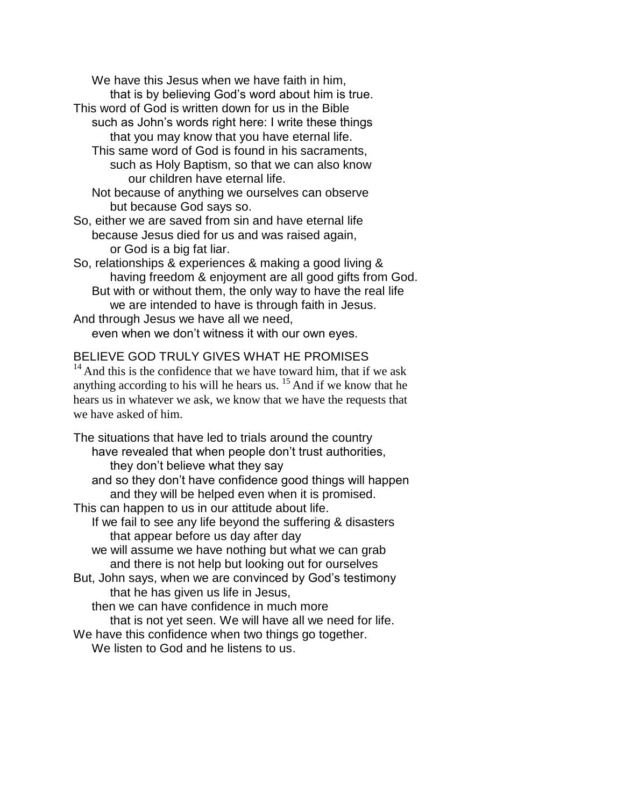We have this Jesus when we have faith in him, that is by believing God's word about him is true.

- This word of God is written down for us in the Bible such as John's words right here: I write these things that you may know that you have eternal life.
	- This same word of God is found in his sacraments, such as Holy Baptism, so that we can also know our children have eternal life.
	- Not because of anything we ourselves can observe but because God says so.
- So, either we are saved from sin and have eternal life because Jesus died for us and was raised again, or God is a big fat liar.
- So, relationships & experiences & making a good living & having freedom & enjoyment are all good gifts from God. But with or without them, the only way to have the real life
- we are intended to have is through faith in Jesus.

And through Jesus we have all we need, even when we don't witness it with our own eyes.

## BELIEVE GOD TRULY GIVES WHAT HE PROMISES

 $14$ And this is the confidence that we have toward him, that if we ask anything according to his will he hears us.  $15$  And if we know that he hears us in whatever we ask, we know that we have the requests that we have asked of him.

The situations that have led to trials around the country have revealed that when people don't trust authorities, they don't believe what they say and so they don't have confidence good things will happen and they will be helped even when it is promised. This can happen to us in our attitude about life. If we fail to see any life beyond the suffering & disasters that appear before us day after day we will assume we have nothing but what we can grab and there is not help but looking out for ourselves But, John says, when we are convinced by God's testimony that he has given us life in Jesus, then we can have confidence in much more that is not yet seen. We will have all we need for life. We have this confidence when two things go together. We listen to God and he listens to us.